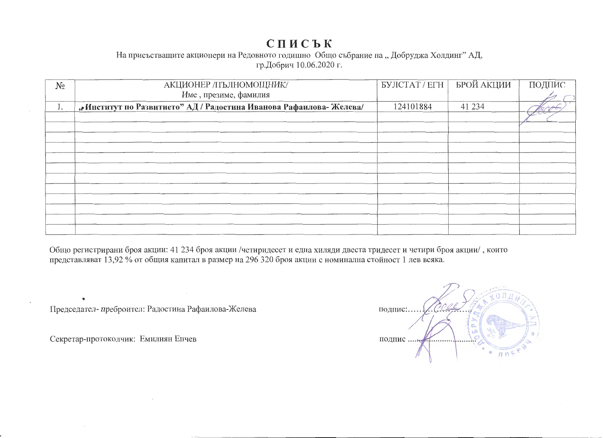## СПИСЬК

На присъстващите акционери на Редовното годишно Общо събрание на "Добруджа Холдинг" АД, гр.Добрич 10.06.2020 г.

| $N_2$ | АКЦИОНЕР /ПЪЛНОМОЩНИК/<br>Име, презиме, фамилия                     | БУЛСТАТ / ЕГН | <b>БРОЙ АКЦИИ</b> | ПОДПИС |
|-------|---------------------------------------------------------------------|---------------|-------------------|--------|
| 1.    | "• Институт по Развитието" АД / Радостина Иванова Рафаилова-Желева/ | 124101884     | 41 234            |        |
|       |                                                                     |               |                   |        |
|       |                                                                     |               |                   |        |
|       |                                                                     |               |                   |        |
|       |                                                                     |               |                   |        |
|       |                                                                     |               |                   |        |
|       |                                                                     |               |                   |        |
|       |                                                                     |               |                   |        |
|       |                                                                     |               |                   |        |

Общо регистрирани броя акции: 41 234 броя акции /четиридесет и една хиляди двеста тридесет и четири броя акции/, които представляват 13,92 % от общия капитал в размер на 296 320 броя акции с номинална стойност 1 лев всяка.

Председател-преброител: Радостина Рафаилова-Желева

Секретар-протоколчик: Емилиян Енчев